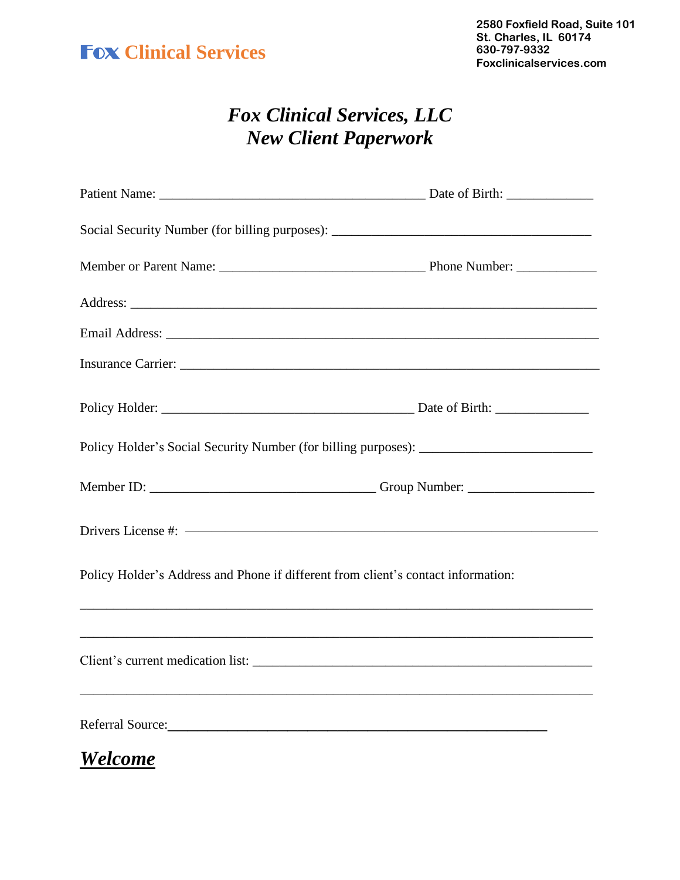## Fox **Clinical Services**

## *Fox Clinical Services, LLC New Client Paperwork*

| Social Security Number (for billing purposes): __________________________________ |  |
|-----------------------------------------------------------------------------------|--|
|                                                                                   |  |
|                                                                                   |  |
|                                                                                   |  |
|                                                                                   |  |
|                                                                                   |  |
| Policy Holder's Social Security Number (for billing purposes): __________________ |  |
|                                                                                   |  |
|                                                                                   |  |
| Policy Holder's Address and Phone if different from client's contact information: |  |
|                                                                                   |  |
|                                                                                   |  |
| Referral Source:                                                                  |  |

*Welcome*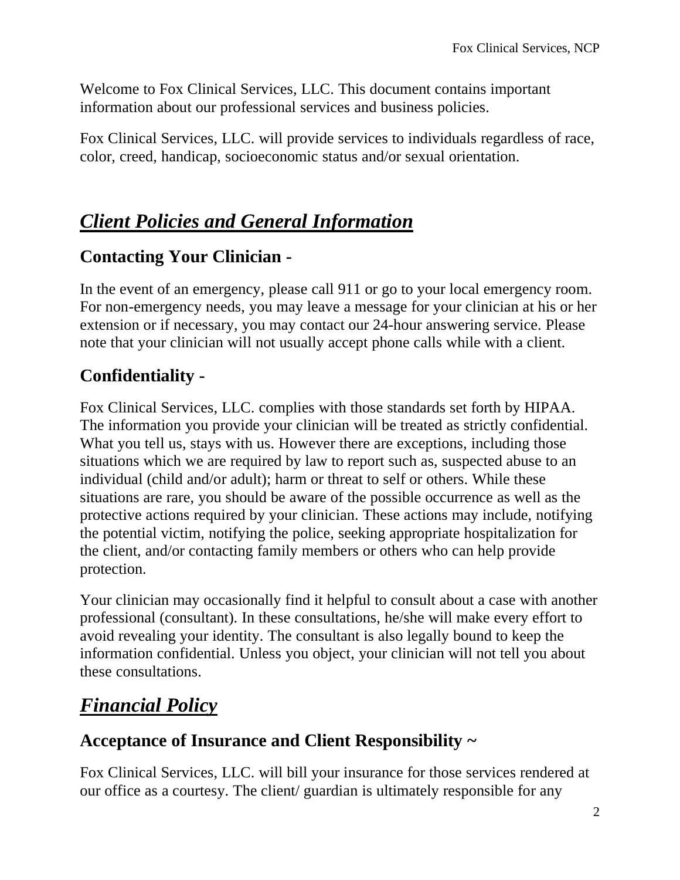Welcome to Fox Clinical Services, LLC. This document contains important information about our professional services and business policies.

Fox Clinical Services, LLC. will provide services to individuals regardless of race, color, creed, handicap, socioeconomic status and/or sexual orientation.

## *Client Policies and General Information*

### **Contacting Your Clinician -**

In the event of an emergency, please call 911 or go to your local emergency room. For non-emergency needs, you may leave a message for your clinician at his or her extension or if necessary, you may contact our 24-hour answering service. Please note that your clinician will not usually accept phone calls while with a client.

## **Confidentiality -**

Fox Clinical Services, LLC. complies with those standards set forth by HIPAA. The information you provide your clinician will be treated as strictly confidential. What you tell us, stays with us. However there are exceptions, including those situations which we are required by law to report such as, suspected abuse to an individual (child and/or adult); harm or threat to self or others. While these situations are rare, you should be aware of the possible occurrence as well as the protective actions required by your clinician. These actions may include, notifying the potential victim, notifying the police, seeking appropriate hospitalization for the client, and/or contacting family members or others who can help provide protection.

Your clinician may occasionally find it helpful to consult about a case with another professional (consultant). In these consultations, he/she will make every effort to avoid revealing your identity. The consultant is also legally bound to keep the information confidential. Unless you object, your clinician will not tell you about these consultations.

## *Financial Policy*

### **Acceptance of Insurance and Client Responsibility ~**

Fox Clinical Services, LLC. will bill your insurance for those services rendered at our office as a courtesy. The client/ guardian is ultimately responsible for any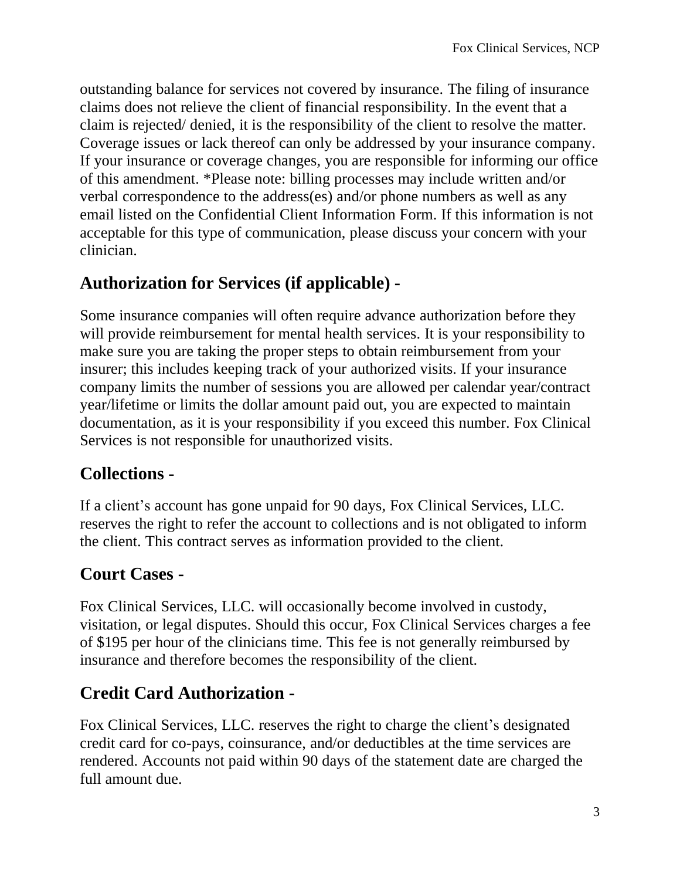outstanding balance for services not covered by insurance. The filing of insurance claims does not relieve the client of financial responsibility. In the event that a claim is rejected/ denied, it is the responsibility of the client to resolve the matter. Coverage issues or lack thereof can only be addressed by your insurance company. If your insurance or coverage changes, you are responsible for informing our office of this amendment. \*Please note: billing processes may include written and/or verbal correspondence to the address(es) and/or phone numbers as well as any email listed on the Confidential Client Information Form. If this information is not acceptable for this type of communication, please discuss your concern with your clinician.

#### **Authorization for Services (if applicable) -**

Some insurance companies will often require advance authorization before they will provide reimbursement for mental health services. It is your responsibility to make sure you are taking the proper steps to obtain reimbursement from your insurer; this includes keeping track of your authorized visits. If your insurance company limits the number of sessions you are allowed per calendar year/contract year/lifetime or limits the dollar amount paid out, you are expected to maintain documentation, as it is your responsibility if you exceed this number. Fox Clinical Services is not responsible for unauthorized visits.

#### **Collections** -

If a client's account has gone unpaid for 90 days, Fox Clinical Services, LLC. reserves the right to refer the account to collections and is not obligated to inform the client. This contract serves as information provided to the client.

#### **Court Cases -**

Fox Clinical Services, LLC. will occasionally become involved in custody, visitation, or legal disputes. Should this occur, Fox Clinical Services charges a fee of \$195 per hour of the clinicians time. This fee is not generally reimbursed by insurance and therefore becomes the responsibility of the client.

### **Credit Card Authorization -**

Fox Clinical Services, LLC. reserves the right to charge the client's designated credit card for co-pays, coinsurance, and/or deductibles at the time services are rendered. Accounts not paid within 90 days of the statement date are charged the full amount due.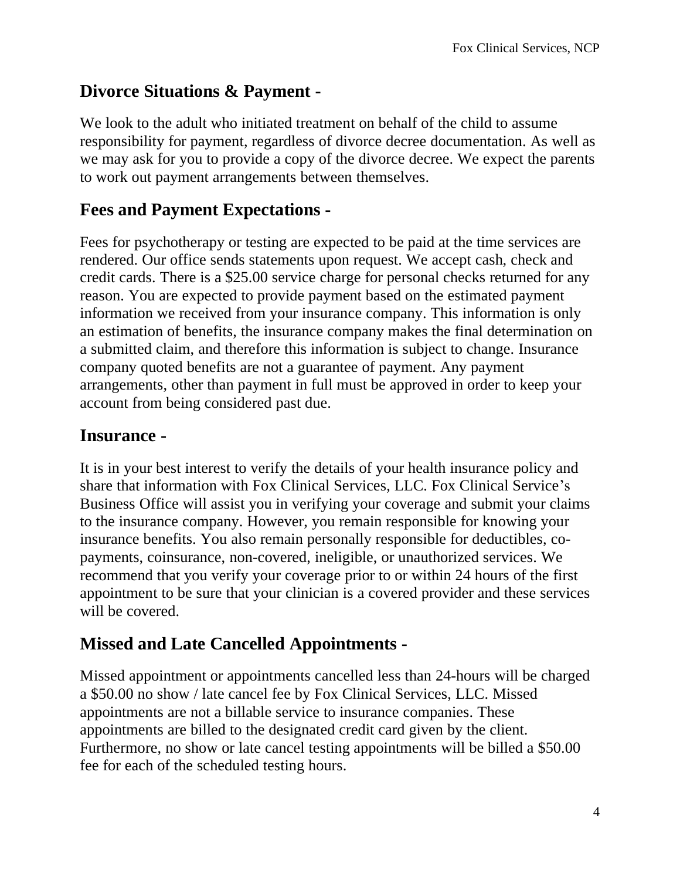#### **Divorce Situations & Payment -**

We look to the adult who initiated treatment on behalf of the child to assume responsibility for payment, regardless of divorce decree documentation. As well as we may ask for you to provide a copy of the divorce decree. We expect the parents to work out payment arrangements between themselves.

#### **Fees and Payment Expectations -**

Fees for psychotherapy or testing are expected to be paid at the time services are rendered. Our office sends statements upon request. We accept cash, check and credit cards. There is a \$25.00 service charge for personal checks returned for any reason. You are expected to provide payment based on the estimated payment information we received from your insurance company. This information is only an estimation of benefits, the insurance company makes the final determination on a submitted claim, and therefore this information is subject to change. Insurance company quoted benefits are not a guarantee of payment. Any payment arrangements, other than payment in full must be approved in order to keep your account from being considered past due.

#### **Insurance -**

It is in your best interest to verify the details of your health insurance policy and share that information with Fox Clinical Services, LLC. Fox Clinical Service's Business Office will assist you in verifying your coverage and submit your claims to the insurance company. However, you remain responsible for knowing your insurance benefits. You also remain personally responsible for deductibles, copayments, coinsurance, non-covered, ineligible, or unauthorized services. We recommend that you verify your coverage prior to or within 24 hours of the first appointment to be sure that your clinician is a covered provider and these services will be covered.

### **Missed and Late Cancelled Appointments -**

Missed appointment or appointments cancelled less than 24-hours will be charged a \$50.00 no show / late cancel fee by Fox Clinical Services, LLC. Missed appointments are not a billable service to insurance companies. These appointments are billed to the designated credit card given by the client. Furthermore, no show or late cancel testing appointments will be billed a \$50.00 fee for each of the scheduled testing hours.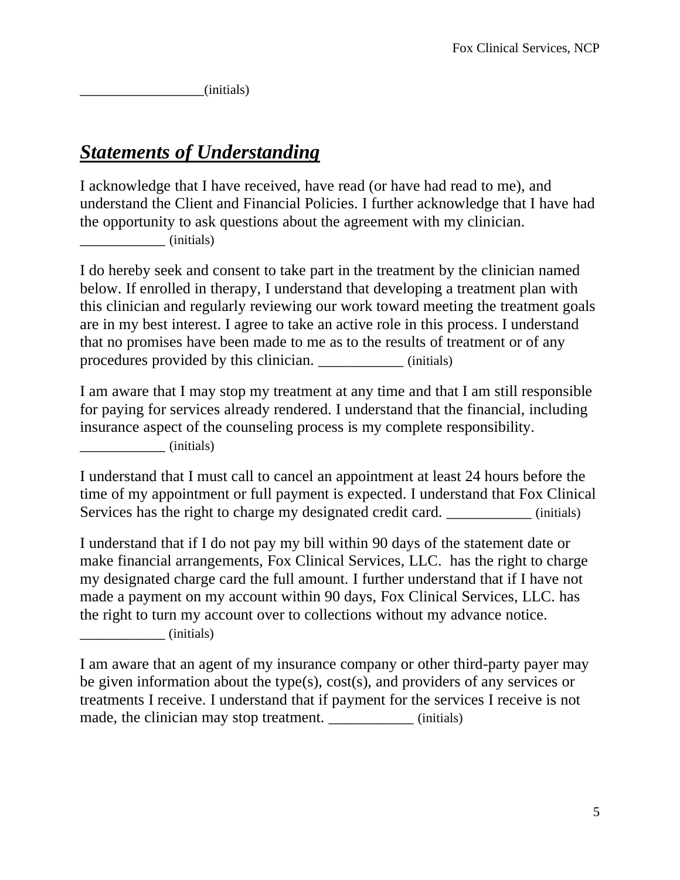\_\_\_\_\_\_\_\_\_\_\_\_\_\_\_\_(initials)

# *Statements of Understanding*

I acknowledge that I have received, have read (or have had read to me), and understand the Client and Financial Policies. I further acknowledge that I have had the opportunity to ask questions about the agreement with my clinician.  $(i$ nitials)

I do hereby seek and consent to take part in the treatment by the clinician named below. If enrolled in therapy, I understand that developing a treatment plan with this clinician and regularly reviewing our work toward meeting the treatment goals are in my best interest. I agree to take an active role in this process. I understand that no promises have been made to me as to the results of treatment or of any procedures provided by this clinician. \_\_\_\_\_\_\_\_\_\_\_ (initials)

I am aware that I may stop my treatment at any time and that I am still responsible for paying for services already rendered. I understand that the financial, including insurance aspect of the counseling process is my complete responsibility. \_\_\_\_\_\_\_\_\_\_\_ (initials)

I understand that I must call to cancel an appointment at least 24 hours before the time of my appointment or full payment is expected. I understand that Fox Clinical Services has the right to charge my designated credit card. \_\_\_\_\_\_\_\_\_\_\_\_ (initials)

I understand that if I do not pay my bill within 90 days of the statement date or make financial arrangements, Fox Clinical Services, LLC. has the right to charge my designated charge card the full amount. I further understand that if I have not made a payment on my account within 90 days, Fox Clinical Services, LLC. has the right to turn my account over to collections without my advance notice. \_\_\_\_\_\_\_\_\_\_\_ (initials)

I am aware that an agent of my insurance company or other third-party payer may be given information about the type(s), cost(s), and providers of any services or treatments I receive. I understand that if payment for the services I receive is not made, the clinician may stop treatment. \_\_\_\_\_\_\_\_\_\_\_\_\_ (initials)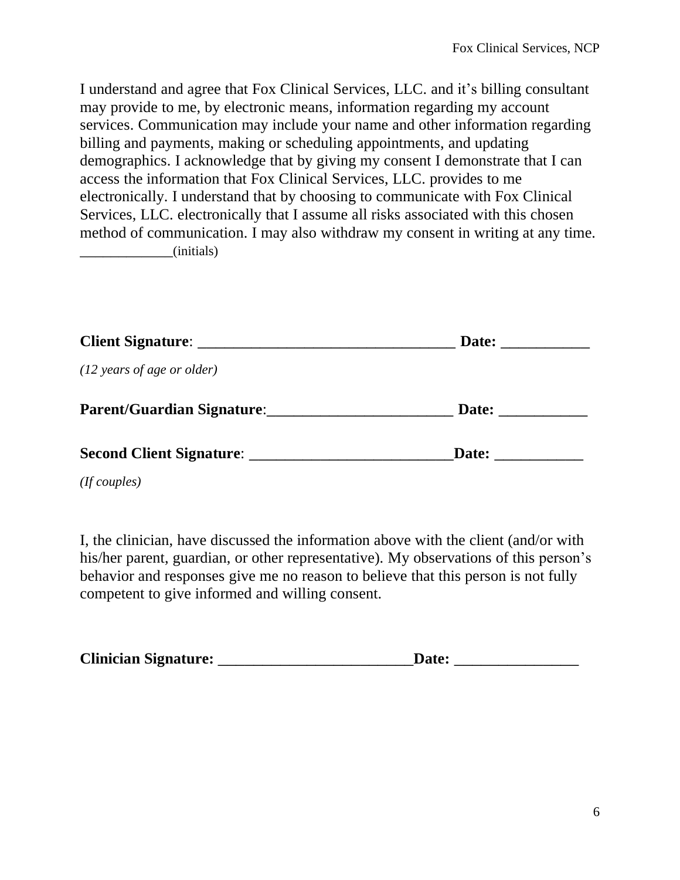I understand and agree that Fox Clinical Services, LLC. and it's billing consultant may provide to me, by electronic means, information regarding my account services. Communication may include your name and other information regarding billing and payments, making or scheduling appointments, and updating demographics. I acknowledge that by giving my consent I demonstrate that I can access the information that Fox Clinical Services, LLC. provides to me electronically. I understand that by choosing to communicate with Fox Clinical Services, LLC. electronically that I assume all risks associated with this chosen method of communication. I may also withdraw my consent in writing at any time. \_\_\_\_\_\_\_\_\_\_\_\_(initials)

| Client Signature:                    | Date: |  |
|--------------------------------------|-------|--|
| $(12 \text{ years of age or older})$ |       |  |
| Parent/Guardian Signature:           | Date: |  |
|                                      | Date: |  |
| (If couples)                         |       |  |

I, the clinician, have discussed the information above with the client (and/or with his/her parent, guardian, or other representative). My observations of this person's behavior and responses give me no reason to believe that this person is not fully competent to give informed and willing consent.

| <b>Clinician Signature:</b> | <b>Date:</b> |  |
|-----------------------------|--------------|--|
|-----------------------------|--------------|--|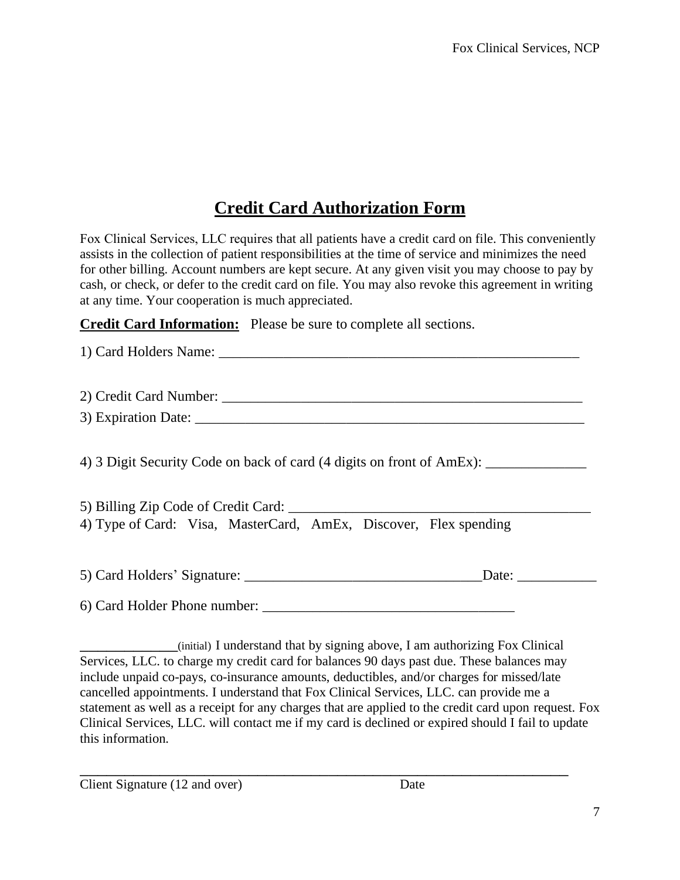#### **Credit Card Authorization Form**

Fox Clinical Services, LLC requires that all patients have a credit card on file. This conveniently assists in the collection of patient responsibilities at the time of service and minimizes the need for other billing. Account numbers are kept secure. At any given visit you may choose to pay by cash, or check, or defer to the credit card on file. You may also revoke this agreement in writing at any time. Your cooperation is much appreciated.

**Credit Card Information:** Please be sure to complete all sections.

| 4) 3 Digit Security Code on back of card (4 digits on front of AmEx): ___________ |                       |
|-----------------------------------------------------------------------------------|-----------------------|
|                                                                                   |                       |
| 4) Type of Card: Visa, MasterCard, AmEx, Discover, Flex spending                  |                       |
|                                                                                   | Date: $\qquad \qquad$ |
| 6) Card Holder Phone number:                                                      |                       |

\_\_\_\_\_\_\_\_\_\_\_(initial) I understand that by signing above, I am authorizing Fox Clinical Services, LLC. to charge my credit card for balances 90 days past due. These balances may include unpaid co-pays, co-insurance amounts, deductibles, and/or charges for missed/late cancelled appointments. I understand that Fox Clinical Services, LLC. can provide me a statement as well as a receipt for any charges that are applied to the credit card upon request. Fox Clinical Services, LLC. will contact me if my card is declined or expired should I fail to update this information.

\_\_\_\_\_\_\_\_\_\_\_\_\_\_\_\_\_\_\_\_\_\_\_\_\_\_\_\_\_\_\_\_\_\_\_\_\_\_\_\_\_\_\_\_\_\_\_\_\_\_\_\_\_\_\_ Client Signature (12 and over) Date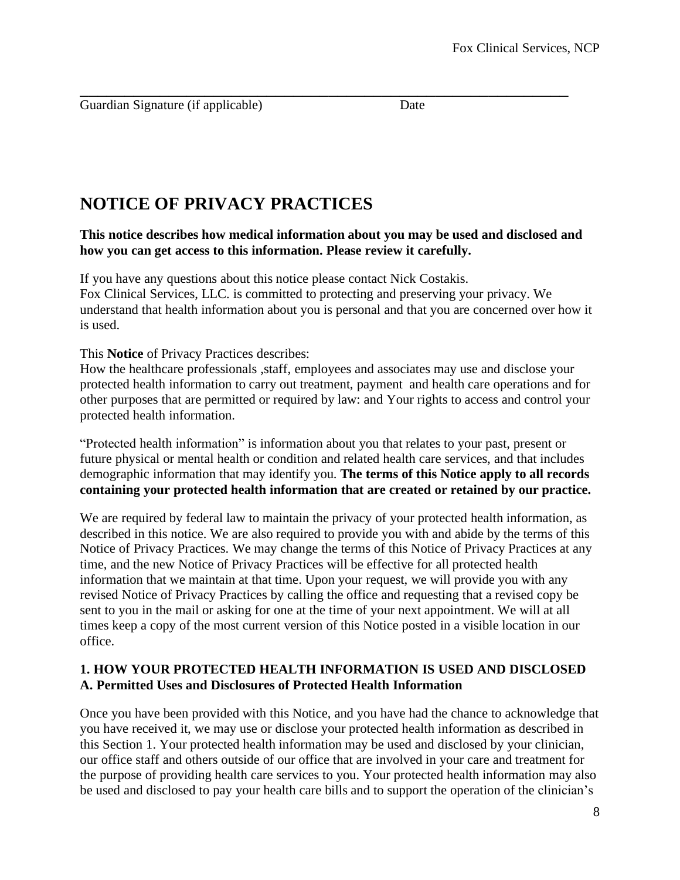\_\_\_\_\_\_\_\_\_\_\_\_\_\_\_\_\_\_\_\_\_\_\_\_\_\_\_\_\_\_\_\_\_\_\_\_\_\_\_\_\_\_\_\_\_\_\_\_\_\_\_\_\_\_\_ Guardian Signature (if applicable) Date

## **NOTICE OF PRIVACY PRACTICES**

**This notice describes how medical information about you may be used and disclosed and how you can get access to this information. Please review it carefully.**

If you have any questions about this notice please contact Nick Costakis. Fox Clinical Services, LLC. is committed to protecting and preserving your privacy. We understand that health information about you is personal and that you are concerned over how it is used.

This **Notice** of Privacy Practices describes:

How the healthcare professionals ,staff, employees and associates may use and disclose your protected health information to carry out treatment, payment and health care operations and for other purposes that are permitted or required by law: and Your rights to access and control your protected health information.

"Protected health information" is information about you that relates to your past, present or future physical or mental health or condition and related health care services, and that includes demographic information that may identify you. **The terms of this Notice apply to all records containing your protected health information that are created or retained by our practice.**

We are required by federal law to maintain the privacy of your protected health information, as described in this notice. We are also required to provide you with and abide by the terms of this Notice of Privacy Practices. We may change the terms of this Notice of Privacy Practices at any time, and the new Notice of Privacy Practices will be effective for all protected health information that we maintain at that time. Upon your request, we will provide you with any revised Notice of Privacy Practices by calling the office and requesting that a revised copy be sent to you in the mail or asking for one at the time of your next appointment. We will at all times keep a copy of the most current version of this Notice posted in a visible location in our office.

#### **1. HOW YOUR PROTECTED HEALTH INFORMATION IS USED AND DISCLOSED A. Permitted Uses and Disclosures of Protected Health Information**

Once you have been provided with this Notice, and you have had the chance to acknowledge that you have received it, we may use or disclose your protected health information as described in this Section 1. Your protected health information may be used and disclosed by your clinician, our office staff and others outside of our office that are involved in your care and treatment for the purpose of providing health care services to you. Your protected health information may also be used and disclosed to pay your health care bills and to support the operation of the clinician's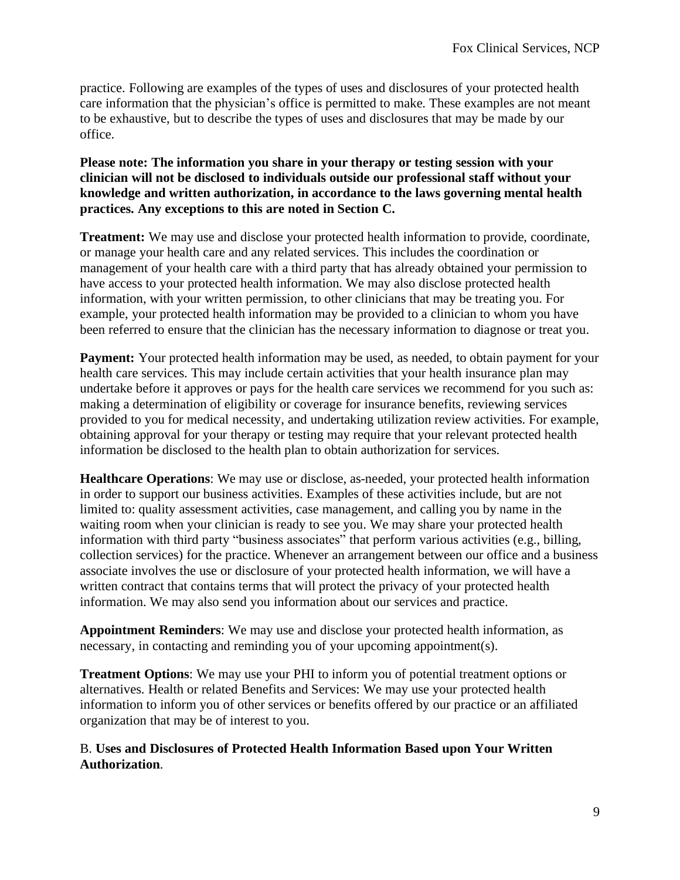practice. Following are examples of the types of uses and disclosures of your protected health care information that the physician's office is permitted to make. These examples are not meant to be exhaustive, but to describe the types of uses and disclosures that may be made by our office.

**Please note: The information you share in your therapy or testing session with your clinician will not be disclosed to individuals outside our professional staff without your knowledge and written authorization, in accordance to the laws governing mental health practices. Any exceptions to this are noted in Section C.**

**Treatment:** We may use and disclose your protected health information to provide, coordinate, or manage your health care and any related services. This includes the coordination or management of your health care with a third party that has already obtained your permission to have access to your protected health information. We may also disclose protected health information, with your written permission, to other clinicians that may be treating you. For example, your protected health information may be provided to a clinician to whom you have been referred to ensure that the clinician has the necessary information to diagnose or treat you.

**Payment:** Your protected health information may be used, as needed, to obtain payment for your health care services. This may include certain activities that your health insurance plan may undertake before it approves or pays for the health care services we recommend for you such as: making a determination of eligibility or coverage for insurance benefits, reviewing services provided to you for medical necessity, and undertaking utilization review activities. For example, obtaining approval for your therapy or testing may require that your relevant protected health information be disclosed to the health plan to obtain authorization for services.

**Healthcare Operations**: We may use or disclose, as-needed, your protected health information in order to support our business activities. Examples of these activities include, but are not limited to: quality assessment activities, case management, and calling you by name in the waiting room when your clinician is ready to see you. We may share your protected health information with third party "business associates" that perform various activities (e.g., billing, collection services) for the practice. Whenever an arrangement between our office and a business associate involves the use or disclosure of your protected health information, we will have a written contract that contains terms that will protect the privacy of your protected health information. We may also send you information about our services and practice.

**Appointment Reminders**: We may use and disclose your protected health information, as necessary, in contacting and reminding you of your upcoming appointment(s).

**Treatment Options**: We may use your PHI to inform you of potential treatment options or alternatives. Health or related Benefits and Services: We may use your protected health information to inform you of other services or benefits offered by our practice or an affiliated organization that may be of interest to you.

#### B. **Uses and Disclosures of Protected Health Information Based upon Your Written Authorization**.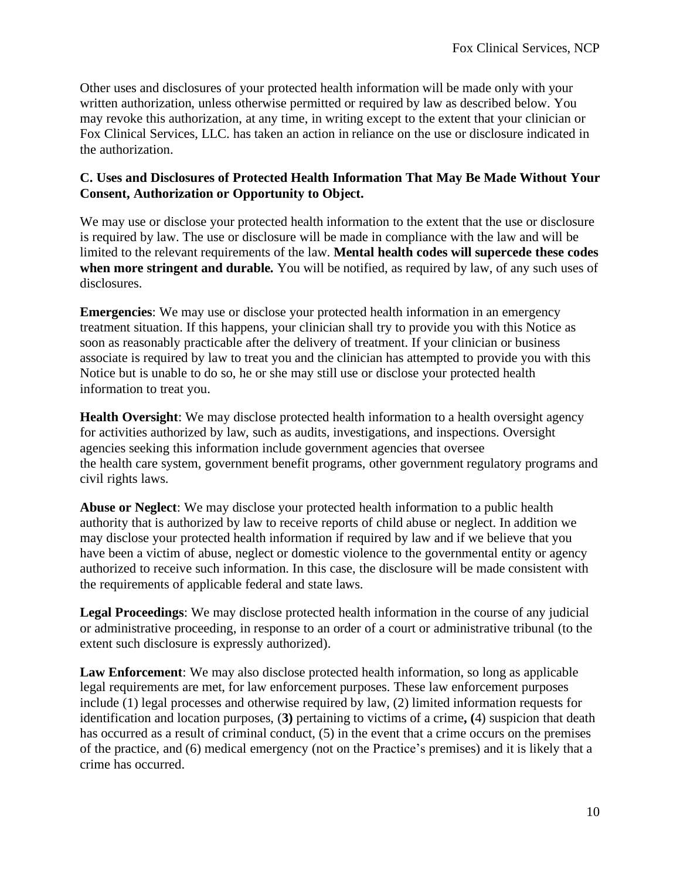Other uses and disclosures of your protected health information will be made only with your written authorization, unless otherwise permitted or required by law as described below. You may revoke this authorization, at any time, in writing except to the extent that your clinician or Fox Clinical Services, LLC. has taken an action in reliance on the use or disclosure indicated in the authorization.

#### **C. Uses and Disclosures of Protected Health Information That May Be Made Without Your Consent, Authorization or Opportunity to Object.**

We may use or disclose your protected health information to the extent that the use or disclosure is required by law. The use or disclosure will be made in compliance with the law and will be limited to the relevant requirements of the law. **Mental health codes will supercede these codes when more stringent and durable.** You will be notified, as required by law, of any such uses of disclosures.

**Emergencies**: We may use or disclose your protected health information in an emergency treatment situation. If this happens, your clinician shall try to provide you with this Notice as soon as reasonably practicable after the delivery of treatment. If your clinician or business associate is required by law to treat you and the clinician has attempted to provide you with this Notice but is unable to do so, he or she may still use or disclose your protected health information to treat you.

**Health Oversight**: We may disclose protected health information to a health oversight agency for activities authorized by law, such as audits, investigations, and inspections. Oversight agencies seeking this information include government agencies that oversee the health care system, government benefit programs, other government regulatory programs and civil rights laws.

**Abuse or Neglect**: We may disclose your protected health information to a public health authority that is authorized by law to receive reports of child abuse or neglect. In addition we may disclose your protected health information if required by law and if we believe that you have been a victim of abuse, neglect or domestic violence to the governmental entity or agency authorized to receive such information. In this case, the disclosure will be made consistent with the requirements of applicable federal and state laws.

**Legal Proceedings**: We may disclose protected health information in the course of any judicial or administrative proceeding, in response to an order of a court or administrative tribunal (to the extent such disclosure is expressly authorized).

**Law Enforcement**: We may also disclose protected health information, so long as applicable legal requirements are met, for law enforcement purposes. These law enforcement purposes include (1) legal processes and otherwise required by law, (2) limited information requests for identification and location purposes, (**3)** pertaining to victims of a crime**, (**4) suspicion that death has occurred as a result of criminal conduct, (5) in the event that a crime occurs on the premises of the practice, and (6) medical emergency (not on the Practice's premises) and it is likely that a crime has occurred.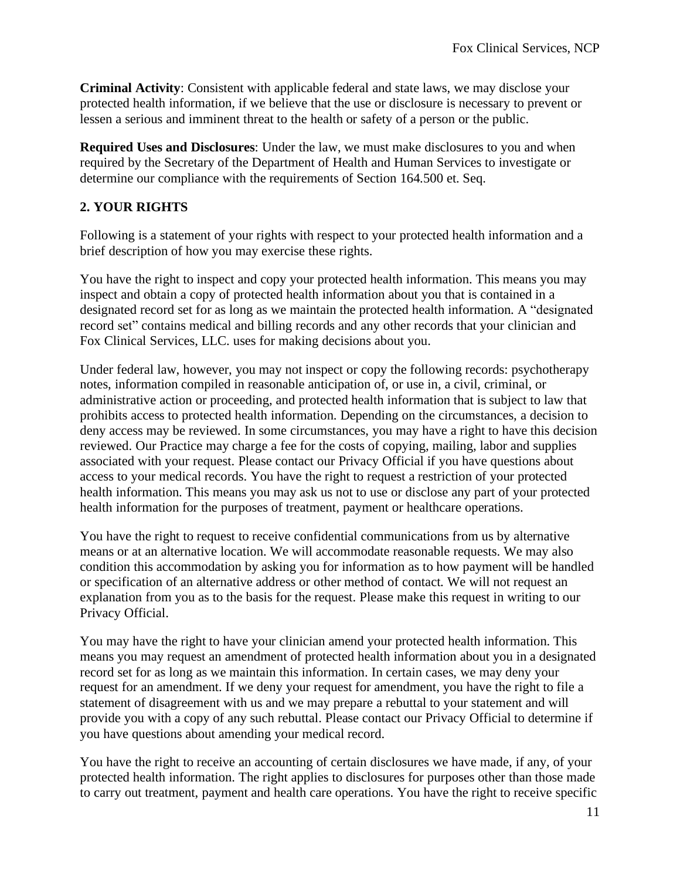**Criminal Activity**: Consistent with applicable federal and state laws, we may disclose your protected health information, if we believe that the use or disclosure is necessary to prevent or lessen a serious and imminent threat to the health or safety of a person or the public.

**Required Uses and Disclosures**: Under the law, we must make disclosures to you and when required by the Secretary of the Department of Health and Human Services to investigate or determine our compliance with the requirements of Section 164.500 et. Seq.

#### **2. YOUR RIGHTS**

Following is a statement of your rights with respect to your protected health information and a brief description of how you may exercise these rights.

You have the right to inspect and copy your protected health information. This means you may inspect and obtain a copy of protected health information about you that is contained in a designated record set for as long as we maintain the protected health information. A "designated record set" contains medical and billing records and any other records that your clinician and Fox Clinical Services, LLC. uses for making decisions about you.

Under federal law, however, you may not inspect or copy the following records: psychotherapy notes, information compiled in reasonable anticipation of, or use in, a civil, criminal, or administrative action or proceeding, and protected health information that is subject to law that prohibits access to protected health information. Depending on the circumstances, a decision to deny access may be reviewed. In some circumstances, you may have a right to have this decision reviewed. Our Practice may charge a fee for the costs of copying, mailing, labor and supplies associated with your request. Please contact our Privacy Official if you have questions about access to your medical records. You have the right to request a restriction of your protected health information. This means you may ask us not to use or disclose any part of your protected health information for the purposes of treatment, payment or healthcare operations.

You have the right to request to receive confidential communications from us by alternative means or at an alternative location. We will accommodate reasonable requests. We may also condition this accommodation by asking you for information as to how payment will be handled or specification of an alternative address or other method of contact. We will not request an explanation from you as to the basis for the request. Please make this request in writing to our Privacy Official.

You may have the right to have your clinician amend your protected health information. This means you may request an amendment of protected health information about you in a designated record set for as long as we maintain this information. In certain cases, we may deny your request for an amendment. If we deny your request for amendment, you have the right to file a statement of disagreement with us and we may prepare a rebuttal to your statement and will provide you with a copy of any such rebuttal. Please contact our Privacy Official to determine if you have questions about amending your medical record.

You have the right to receive an accounting of certain disclosures we have made, if any, of your protected health information. The right applies to disclosures for purposes other than those made to carry out treatment, payment and health care operations. You have the right to receive specific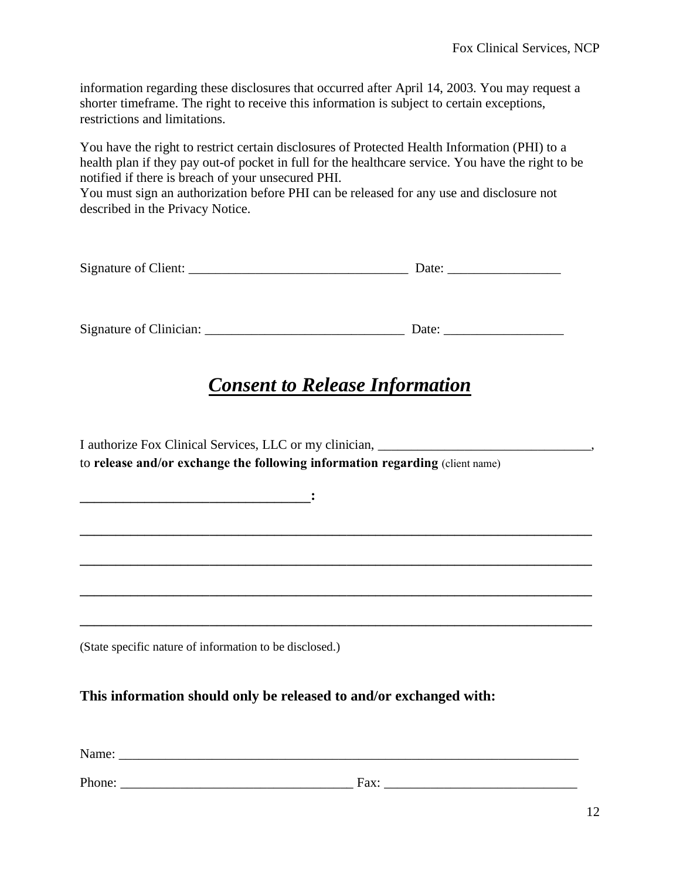information regarding these disclosures that occurred after April 14, 2003. You may request a shorter timeframe. The right to receive this information is subject to certain exceptions, restrictions and limitations.

You have the right to restrict certain disclosures of Protected Health Information (PHI) to a health plan if they pay out-of pocket in full for the healthcare service. You have the right to be notified if there is breach of your unsecured PHI.

You must sign an authorization before PHI can be released for any use and disclosure not described in the Privacy Notice.

| Signature of Client: | Date: |  |
|----------------------|-------|--|
|                      |       |  |
|                      |       |  |

Signature of Clinician: \_\_\_\_\_\_\_\_\_\_\_\_\_\_\_\_\_\_\_\_\_\_\_\_\_\_\_\_\_\_ Date: \_\_\_\_\_\_\_\_\_\_\_\_\_\_\_\_\_\_

## *Consent to Release Information*

**\_\_\_\_\_\_\_\_\_\_\_\_\_\_\_\_\_\_\_\_\_\_\_\_\_\_\_\_\_\_\_\_\_\_\_\_\_\_\_\_\_\_\_\_\_\_\_\_\_\_\_\_\_\_\_\_\_\_\_\_\_\_\_\_\_\_\_\_\_\_\_**

**\_\_\_\_\_\_\_\_\_\_\_\_\_\_\_\_\_\_\_\_\_\_\_\_\_\_\_\_\_\_\_\_\_\_\_\_\_\_\_\_\_\_\_\_\_\_\_\_\_\_\_\_\_\_\_\_\_\_\_\_\_\_\_\_\_\_\_\_\_\_\_**

**\_\_\_\_\_\_\_\_\_\_\_\_\_\_\_\_\_\_\_\_\_\_\_\_\_\_\_\_\_\_\_\_\_\_\_\_\_\_\_\_\_\_\_\_\_\_\_\_\_\_\_\_\_\_\_\_\_\_\_\_\_\_\_\_\_\_\_\_\_\_\_**

I authorize Fox Clinical Services, LLC or my clinician, \_\_\_\_\_\_\_\_\_\_\_\_\_\_\_\_\_\_\_\_\_\_\_\_\_\_\_\_\_\_\_\_, to **release and/or exchange the following information regarding** (client name)

(State specific nature of information to be disclosed.)

 $\mathbf{C} = \{ \mathbf{C}^T \mathbf{C}^T \mathbf{C}^T \mathbf{C}^T \mathbf{C}^T \mathbf{C}^T \mathbf{C}^T \mathbf{C}^T \mathbf{C}^T \mathbf{C}^T \mathbf{C}^T \mathbf{C}^T \mathbf{C}^T \mathbf{C}^T \mathbf{C}^T \mathbf{C}^T \mathbf{C}^T \mathbf{C}^T \mathbf{C}^T \mathbf{C}^T \mathbf{C}^T \mathbf{C}^T \mathbf{C}^T \mathbf{C}^T \mathbf{C}^T \mathbf{C}^T \mathbf$ 

**This information should only be released to and/or exchanged with:**

Name: \_\_\_\_\_\_\_\_\_\_\_\_\_\_\_\_\_\_\_\_\_\_\_\_\_\_\_\_\_\_\_\_\_\_\_\_\_\_\_\_\_\_\_\_\_\_\_\_\_\_\_\_\_\_\_\_\_\_\_\_\_\_\_\_\_\_\_\_\_

Phone: \_\_\_\_\_\_\_\_\_\_\_\_\_\_\_\_\_\_\_\_\_\_\_\_\_\_\_\_\_\_\_\_\_\_\_ Fax: \_\_\_\_\_\_\_\_\_\_\_\_\_\_\_\_\_\_\_\_\_\_\_\_\_\_\_\_\_

**\_\_\_\_\_\_\_\_\_\_\_\_\_\_\_\_\_\_\_\_\_\_\_\_\_\_\_\_\_\_\_\_\_\_\_\_\_\_\_\_\_\_\_\_\_\_\_\_\_\_\_\_\_\_\_\_\_\_\_\_\_\_\_\_\_\_\_\_\_\_\_**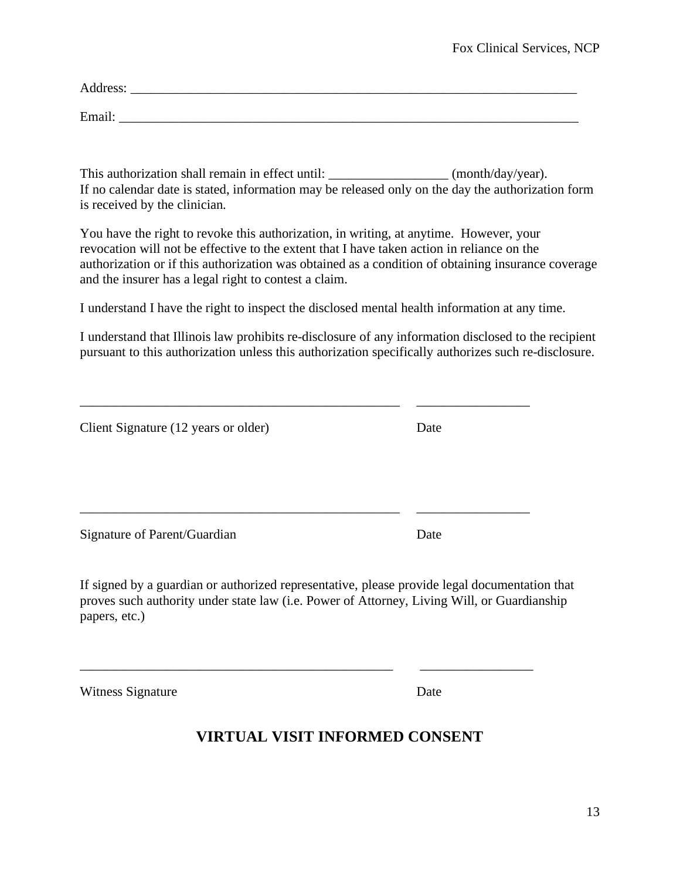| $\bullet$<br><br>AUTESS |  |
|-------------------------|--|
|                         |  |

Email:

This authorization shall remain in effect until: \_\_\_\_\_\_\_\_\_\_\_\_\_\_\_\_\_\_\_ (month/day/year). If no calendar date is stated, information may be released only on the day the authorization form is received by the clinician.

You have the right to revoke this authorization, in writing, at anytime. However, your revocation will not be effective to the extent that I have taken action in reliance on the authorization or if this authorization was obtained as a condition of obtaining insurance coverage and the insurer has a legal right to contest a claim.

I understand I have the right to inspect the disclosed mental health information at any time.

\_\_\_\_\_\_\_\_\_\_\_\_\_\_\_\_\_\_\_\_\_\_\_\_\_\_\_\_\_\_\_\_\_\_\_\_\_\_\_\_\_\_\_\_\_\_\_\_ \_\_\_\_\_\_\_\_\_\_\_\_\_\_\_\_\_

Client Signature (12 years or older) Date

I understand that Illinois law prohibits re-disclosure of any information disclosed to the recipient pursuant to this authorization unless this authorization specifically authorizes such re-disclosure.

\_\_\_\_\_\_\_\_\_\_\_\_\_\_\_\_\_\_\_\_\_\_\_\_\_\_\_\_\_\_\_\_\_\_\_\_\_\_\_\_\_\_\_\_\_\_\_\_ \_\_\_\_\_\_\_\_\_\_\_\_\_\_\_\_\_

Signature of Parent/Guardian Date

If signed by a guardian or authorized representative, please provide legal documentation that proves such authority under state law (i.e. Power of Attorney, Living Will, or Guardianship papers, etc.)

\_\_\_\_\_\_\_\_\_\_\_\_\_\_\_\_\_\_\_\_\_\_\_\_\_\_\_\_\_\_\_\_\_\_\_\_\_\_\_\_\_\_\_\_\_\_\_ \_\_\_\_\_\_\_\_\_\_\_\_\_\_\_\_\_

Witness Signature Date

#### **VIRTUAL VISIT INFORMED CONSENT**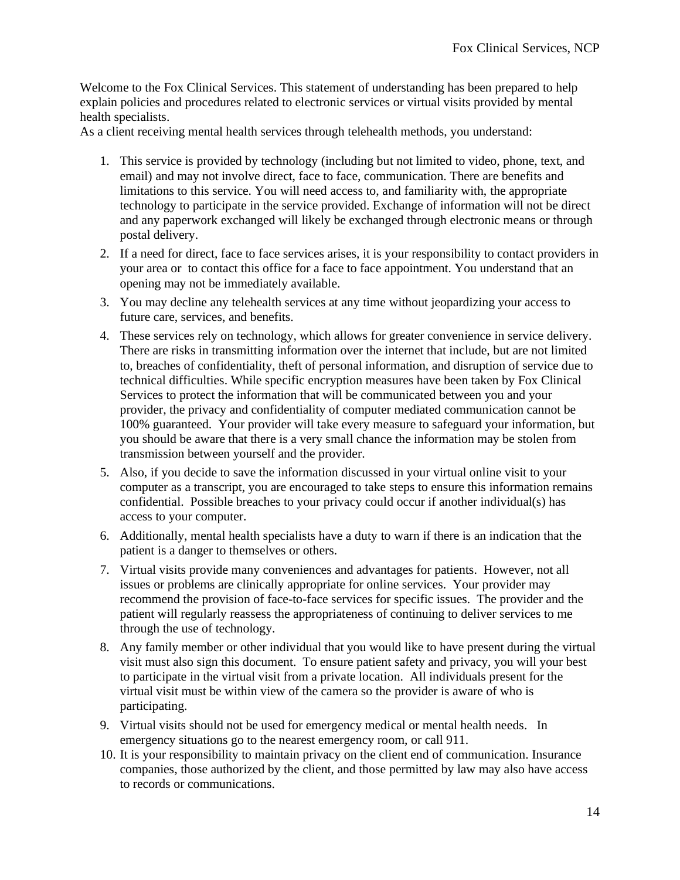Welcome to the Fox Clinical Services. This statement of understanding has been prepared to help explain policies and procedures related to electronic services or virtual visits provided by mental health specialists.

As a client receiving mental health services through telehealth methods, you understand:

- 1. This service is provided by technology (including but not limited to video, phone, text, and email) and may not involve direct, face to face, communication. There are benefits and limitations to this service. You will need access to, and familiarity with, the appropriate technology to participate in the service provided. Exchange of information will not be direct and any paperwork exchanged will likely be exchanged through electronic means or through postal delivery.
- 2. If a need for direct, face to face services arises, it is your responsibility to contact providers in your area or to contact this office for a face to face appointment. You understand that an opening may not be immediately available.
- 3. You may decline any telehealth services at any time without jeopardizing your access to future care, services, and benefits.
- 4. These services rely on technology, which allows for greater convenience in service delivery. There are risks in transmitting information over the internet that include, but are not limited to, breaches of confidentiality, theft of personal information, and disruption of service due to technical difficulties. While specific encryption measures have been taken by Fox Clinical Services to protect the information that will be communicated between you and your provider, the privacy and confidentiality of computer mediated communication cannot be 100% guaranteed. Your provider will take every measure to safeguard your information, but you should be aware that there is a very small chance the information may be stolen from transmission between yourself and the provider.
- 5. Also, if you decide to save the information discussed in your virtual online visit to your computer as a transcript, you are encouraged to take steps to ensure this information remains confidential. Possible breaches to your privacy could occur if another individual(s) has access to your computer.
- 6. Additionally, mental health specialists have a duty to warn if there is an indication that the patient is a danger to themselves or others.
- 7. Virtual visits provide many conveniences and advantages for patients. However, not all issues or problems are clinically appropriate for online services. Your provider may recommend the provision of face-to-face services for specific issues. The provider and the patient will regularly reassess the appropriateness of continuing to deliver services to me through the use of technology.
- 8. Any family member or other individual that you would like to have present during the virtual visit must also sign this document. To ensure patient safety and privacy, you will your best to participate in the virtual visit from a private location. All individuals present for the virtual visit must be within view of the camera so the provider is aware of who is participating.
- 9. Virtual visits should not be used for emergency medical or mental health needs. In emergency situations go to the nearest emergency room, or call 911.
- 10. It is your responsibility to maintain privacy on the client end of communication. Insurance companies, those authorized by the client, and those permitted by law may also have access to records or communications.